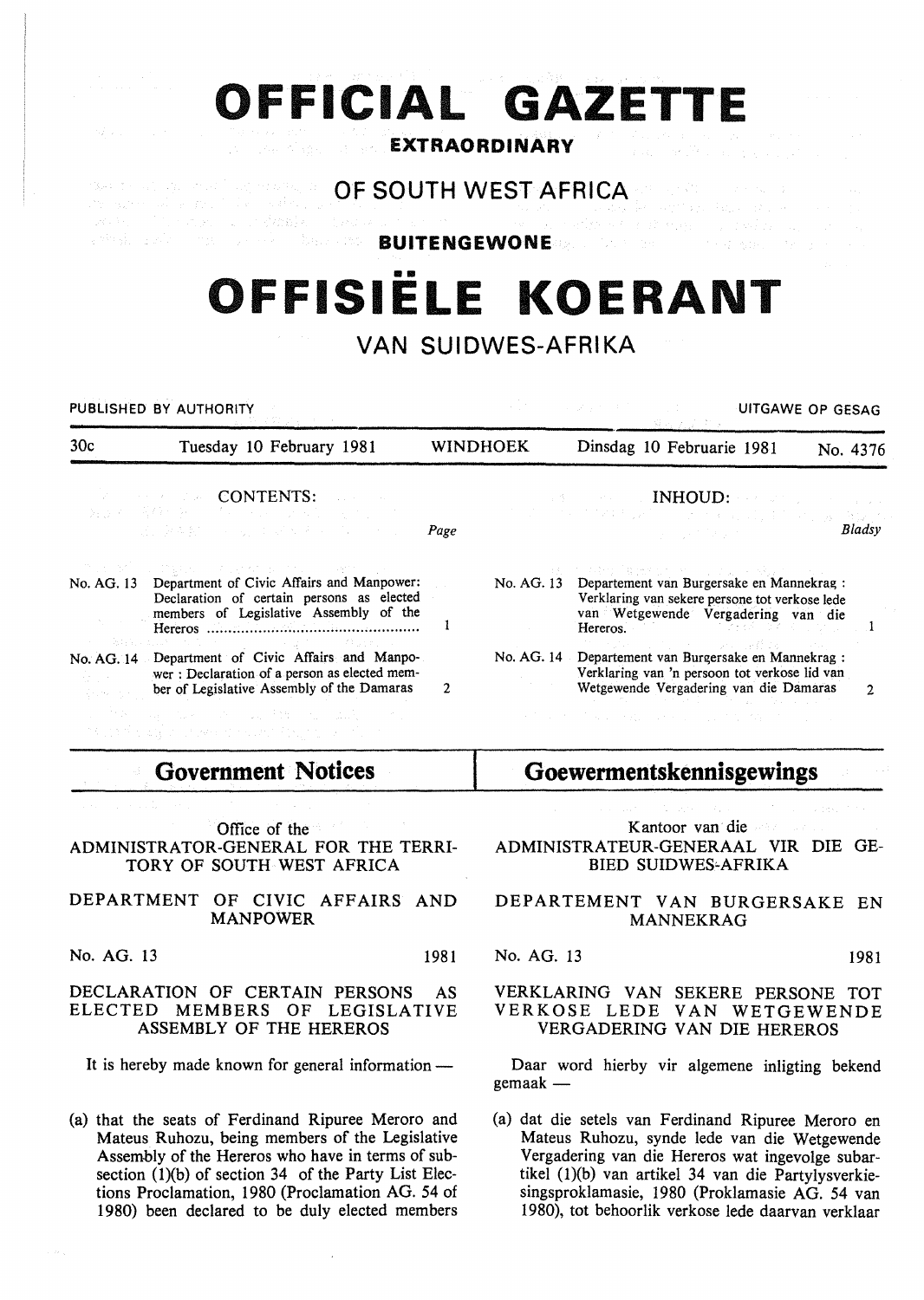|  | OFFICIAL GAZETTE                                                                                                                                                                                                                                                                                  |  |  |
|--|---------------------------------------------------------------------------------------------------------------------------------------------------------------------------------------------------------------------------------------------------------------------------------------------------|--|--|
|  | <b>EXTRAORDINARY AND SEXTRAORDINARY</b>                                                                                                                                                                                                                                                           |  |  |
|  | <b>CONSIDERING OF SOUTH WEST AFRICA AND RESERVE THE SECOND SECOND SERVICE SECOND SERVICE SERVICE SERVICE SERVICE</b>                                                                                                                                                                              |  |  |
|  | 89年に、「しゃの大」は、1982年12月1日のスコードについて、「マーム」と会社でも、1992年についての1991年によって<br>which is the company of the DITENGEWONE age of the company of the property of the company of the company of the company of the company of the company of the company of the company of the company of the company of the compa |  |  |

# •• **OFFISIELE KOERANT**

# **VAN SUIDWES-AFRIKA**

PUBLISHED BY AUTHORITY UNDER THE STATE OF GESAGE OF GESAGE OF GESAGE OF GESAGE OF GESAGE OF GESAGE OF GESAGE OF GESAGE OF GESAGE OF GESAGE OF GESAGE OF GESAGE OF GESAGE OF GESAGE OF GESAGE OF GESAGE OF GESAGE OF GESAGE OF

| 30c<br>Tuesday 10 February 1981 |                                                                                                                                                                                 | <b>WINDHOEK</b> |  | Dinsdag 10 Februarie 1981                                                                                                                                                                                                                                                   | No. 4376 |
|---------------------------------|---------------------------------------------------------------------------------------------------------------------------------------------------------------------------------|-----------------|--|-----------------------------------------------------------------------------------------------------------------------------------------------------------------------------------------------------------------------------------------------------------------------------|----------|
|                                 | <b><i>CONTENTS:</i></b><br>製造スト産業の外に、することは、まるから、オリック<br>しかしみを探し ししん エスペスト・パーティング                                                                                                | Page            |  | and the second <b>INHOUD:</b> see the second company<br>that is the transfer of the second and the subsequent<br>and the state of the state of the state of the                                                                                                             | Bladsy   |
|                                 | アルロシケール ひなむり しんしいが おしたい しっぽせいしゃい<br>No. AG. 13 Department of Civic Affairs and Manpower:<br>Declaration of certain persons as elected<br>members of Legislative Assembly of the |                 |  | 日本 アンクおせ (奪給する) せいしつしょう 民事 かいしん<br>No. AG. 13 Departement van Burgersake en Mannekrag :<br>Verklaring van sekere persone tot verkose lede<br>van Wetgewende Vergadering van die<br>Hereros. The set of $\mathbb{R}^n$ is $\mathbb{R}^n$ in $\mathbb{R}^n$ in $\mathbb{R}^n$ |          |
|                                 | No. AG. 14 Department of Civic Affairs and Manpo-<br>wer: Declaration of a person as elected mem-<br>ber of Legislative Assembly of the Damaras                                 | 2               |  | アンテスト しょうようそう しえん ほむ ねっこう<br>No. AG. 14 Departement van Burgersake en Mannekrag:<br>Verklaring van 'n persoon tot verkose lid van<br>Wetgewende Vergadering van die Damaras                                                                                                 |          |
|                                 | そして教師的にははありないないとして、 アール・コンピュータ はんしょう<br>1. "我知道我们都不会说,我们就是我们的人,我们的人。"                                                                                                           |                 |  | せんようしん おいせん しゅせいしょ 内容の格 けいしょうい                                                                                                                                                                                                                                              |          |

# **Government Notices**

Office of the ADMINISTRATOR-GENERAL FOR THE TERRI-TORY OF SOUTH WEST AFRICA

# DEPARTMENT OF CIVIC AFFAIRS AND MANPOWER

No. AG. 13 1981

# DECLARATION OF CERTAIN PERSONS AS ELECTED MEMBERS OF LEGISLATIVE ASSEMBLY OF THE HEREROS

It is hereby made known for general information -

(a) that the seats of Ferdinand Ripuree Meroro and Mateus Ruhozu, being members of the Legislative Assembly of the Hereros who have in terms of subsection  $(1)(b)$  of section 34 of the Party List Elections Proclamation, 1980 (Proclamation AG. 54 of 1980) been declared to be duly elected members **Goewermentskennisgewings** 

Kantoor van die ADMINISTRATEUR-GENERAAL VIR DIE GE-BIED SUIDWES~AFRIKA

DEPARTEMENT VAN BURGERSAKE EN MANNEKRAG

#### No. AG. 13 1981

# VERKLARING VAN SEKERE PERSONE TOT VERKOSE LEDE VAN WETGEWENDE VERGADERING VAN DIE HEREROS

Daar word hierby vir algemene inligting bekend  $g$ emaak $-$ 

(a) dat die setels van Ferdinand Ripuree Meroro en Mateus Ruhozu, synde lede van die Wetgewende Vergadering van die Hereros wat ingevolge subartikel  $(1)(b)$  van artikel 34 van die Partylysverkiesingsproklamasie, 1980 (Proklamasie AG. 54 van 1980), tot behoorlik verkose lede daarvan verklaar